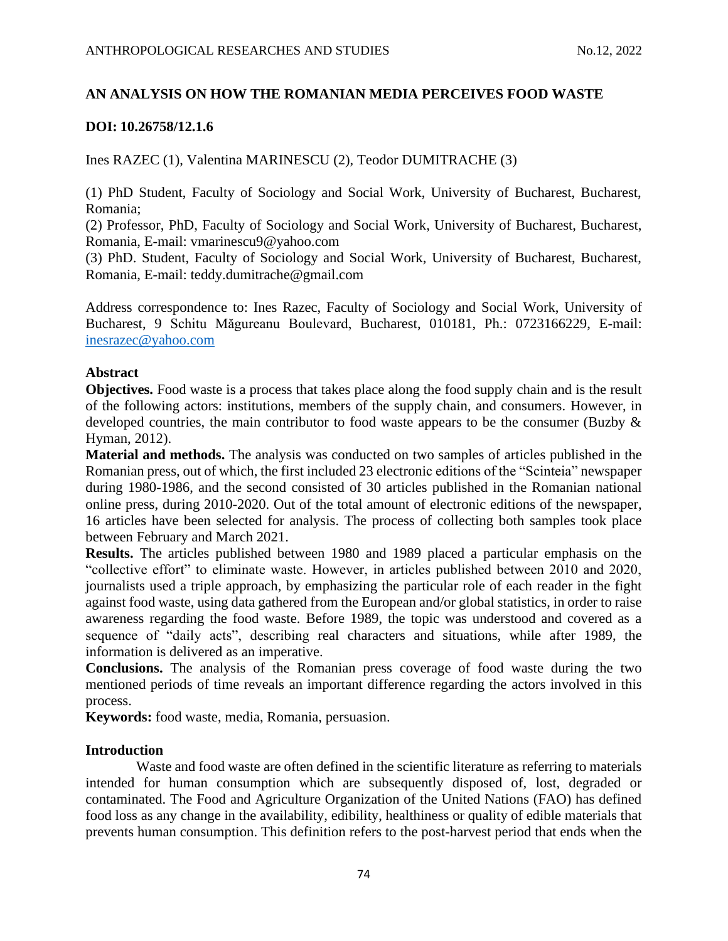# **AN ANALYSIS ON HOW THE ROMANIAN MEDIA PERCEIVES FOOD WASTE**

# **DOI: 10.26758/12.1.6**

Ines RAZEC (1), Valentina MARINESCU (2), Teodor DUMITRACHE (3)

(1) PhD Student, Faculty of Sociology and Social Work, University of Bucharest, Bucharest, Romania;

(2) Professor, PhD, Faculty of Sociology and Social Work, University of Bucharest, Bucharest, Romania, E-mail: [vmarinescu9@yahoo.com](mailto:vmarinescu9@yahoo.com)

(3) PhD. Student, Faculty of Sociology and Social Work, University of Bucharest, Bucharest, Romania, E-mail: [teddy.dumitrache@gmail.com](mailto:teddy.dumitrache@gmail.com)

Address correspondence to: Ines Razec, Faculty of Sociology and Social Work, University of Bucharest, 9 Schitu Măgureanu Boulevard, Bucharest, 010181, Ph.: 0723166229, E-mail: <inesrazec@yahoo.com>

## **Abstract**

**Objectives.** Food waste is a process that takes place along the food supply chain and is the result of the following actors: institutions, members of the supply chain, and consumers. However, in developed countries, the main contributor to food waste appears to be the consumer (Buzby & Hyman, 2012).

**Material and methods.** The analysis was conducted on two samples of articles published in the Romanian press, out of which, the first included 23 electronic editions of the "Scinteia" newspaper during 1980-1986, and the second consisted of 30 articles published in the Romanian national online press, during 2010-2020. Out of the total amount of electronic editions of the newspaper, 16 articles have been selected for analysis. The process of collecting both samples took place between February and March 2021.

**Results.** The articles published between 1980 and 1989 placed a particular emphasis on the "collective effort" to eliminate waste. However, in articles published between 2010 and 2020, journalists used a triple approach, by emphasizing the particular role of each reader in the fight against food waste, using data gathered from the European and/or global statistics, in order to raise awareness regarding the food waste. Before 1989, the topic was understood and covered as a sequence of "daily acts", describing real characters and situations, while after 1989, the information is delivered as an imperative.

**Conclusions.** The analysis of the Romanian press coverage of food waste during the two mentioned periods of time reveals an important difference regarding the actors involved in this process.

**Keywords:** food waste, media, Romania, persuasion.

## **Introduction**

Waste and food waste are often defined in the scientific literature as referring to materials intended for human consumption which are subsequently disposed of, lost, degraded or contaminated. The Food and Agriculture Organization of the United Nations (FAO) has defined food loss as any change in the availability, edibility, healthiness or quality of edible materials that prevents human consumption. This definition refers to the post-harvest period that ends when the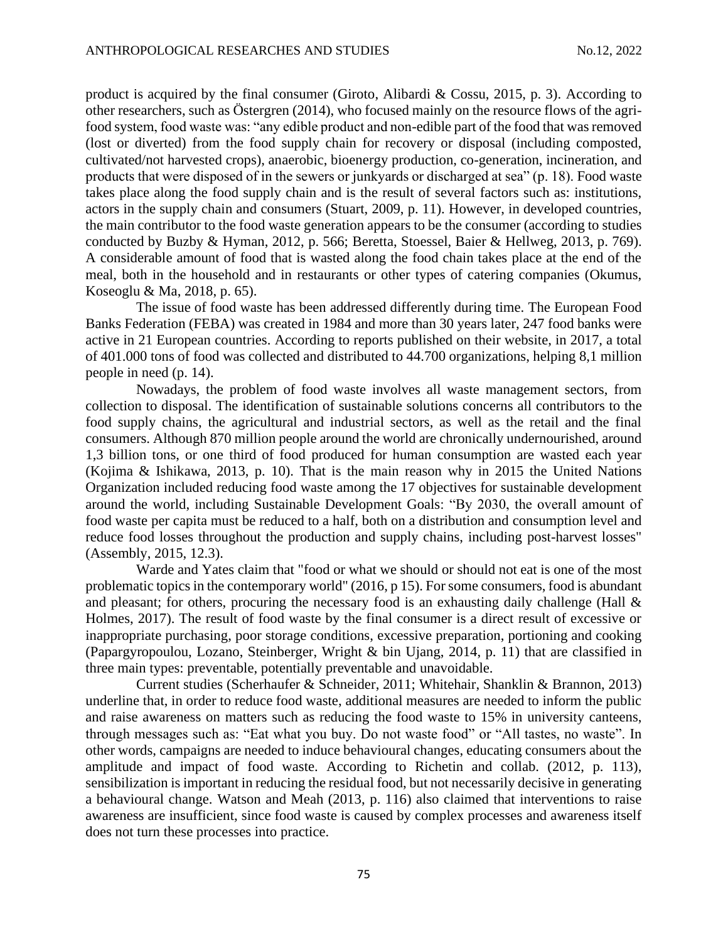product is acquired by the final consumer (Giroto, Alibardi & Cossu, 2015, p. 3). According to other researchers, such as Östergren (2014), who focused mainly on the resource flows of the agrifood system, food waste was: "any edible product and non-edible part of the food that was removed (lost or diverted) from the food supply chain for recovery or disposal (including composted, cultivated/not harvested crops), anaerobic, bioenergy production, co-generation, incineration, and products that were disposed of in the sewers or junkyards or discharged at sea" (p. 18). Food waste takes place along the food supply chain and is the result of several factors such as: institutions, actors in the supply chain and consumers (Stuart, 2009, p. 11). However, in developed countries, the main contributor to the food waste generation appears to be the consumer (according to studies conducted by Buzby & Hyman, 2012, p. 566; Beretta, Stoessel, Baier & Hellweg, 2013, p. 769). A considerable amount of food that is wasted along the food chain takes place at the end of the meal, both in the household and in restaurants or other types of catering companies (Okumus, Koseoglu & Ma, 2018, p. 65).

The issue of food waste has been addressed differently during time. The European Food Banks Federation (FEBA) was created in 1984 and more than 30 years later, 247 food banks were active in 21 European countries. According to reports published on their website, in 2017, a total of 401.000 tons of food was collected and distributed to 44.700 organizations, helping 8,1 million people in need (p. 14).

Nowadays, the problem of food waste involves all waste management sectors, from collection to disposal. The identification of sustainable solutions concerns all contributors to the food supply chains, the agricultural and industrial sectors, as well as the retail and the final consumers. Although 870 million people around the world are chronically undernourished, around 1,3 billion tons, or one third of food produced for human consumption are wasted each year (Kojima & Ishikawa, 2013, p. 10). That is the main reason why in 2015 the United Nations Organization included reducing food waste among the 17 objectives for sustainable development around the world, including Sustainable Development Goals: "By 2030, the overall amount of food waste per capita must be reduced to a half, both on a distribution and consumption level and reduce food losses throughout the production and supply chains, including post-harvest losses" (Assembly, 2015, 12.3).

Warde and Yates claim that "food or what we should or should not eat is one of the most problematic topics in the contemporary world" (2016, p 15). For some consumers, food is abundant and pleasant; for others, procuring the necessary food is an exhausting daily challenge (Hall & Holmes, 2017). The result of food waste by the final consumer is a direct result of excessive or inappropriate purchasing, poor storage conditions, excessive preparation, portioning and cooking (Papargyropoulou, Lozano, Steinberger, Wright & bin Ujang, 2014, p. 11) that are classified in three main types: preventable, potentially preventable and unavoidable.

Current studies (Scherhaufer & Schneider, 2011; Whitehair, Shanklin & Brannon, 2013) underline that, in order to reduce food waste, additional measures are needed to inform the public and raise awareness on matters such as reducing the food waste to 15% in university canteens, through messages such as: "Eat what you buy. Do not waste food" or "All tastes, no waste". In other words, campaigns are needed to induce behavioural changes, educating consumers about the amplitude and impact of food waste. According to Richetin and collab. (2012, p. 113), sensibilization is important in reducing the residual food, but not necessarily decisive in generating a behavioural change. Watson and Meah (2013, p. 116) also claimed that interventions to raise awareness are insufficient, since food waste is caused by complex processes and awareness itself does not turn these processes into practice.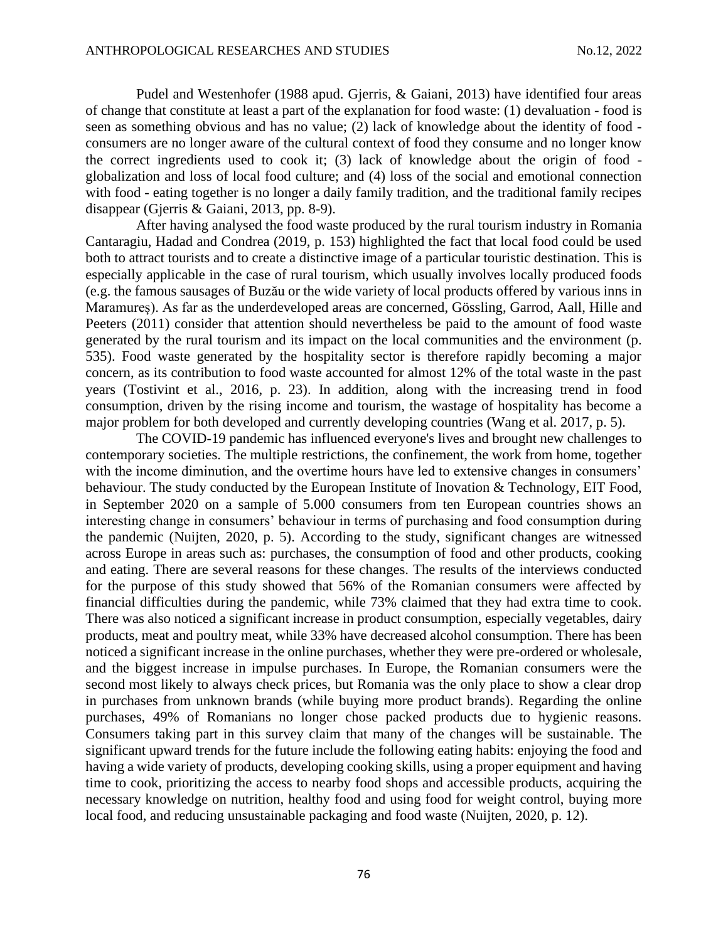Pudel and Westenhofer (1988 apud. Gjerris, & Gaiani, 2013) have identified four areas of change that constitute at least a part of the explanation for food waste: (1) devaluation - food is seen as something obvious and has no value; (2) lack of knowledge about the identity of food consumers are no longer aware of the cultural context of food they consume and no longer know the correct ingredients used to cook it; (3) lack of knowledge about the origin of food globalization and loss of local food culture; and (4) loss of the social and emotional connection with food - eating together is no longer a daily family tradition, and the traditional family recipes disappear (Gjerris & Gaiani, 2013, pp. 8-9).

After having analysed the food waste produced by the rural tourism industry in Romania Cantaragiu, Hadad and Condrea (2019, p. 153) highlighted the fact that local food could be used both to attract tourists and to create a distinctive image of a particular touristic destination. This is especially applicable in the case of rural tourism, which usually involves locally produced foods (e.g. the famous sausages of Buzău or the wide variety of local products offered by various inns in Maramureș). As far as the underdeveloped areas are concerned, Gössling, Garrod, Aall, Hille and Peeters (2011) consider that attention should nevertheless be paid to the amount of food waste generated by the rural tourism and its impact on the local communities and the environment (p. 535). Food waste generated by the hospitality sector is therefore rapidly becoming a major concern, as its contribution to food waste accounted for almost 12% of the total waste in the past years (Tostivint et al., 2016, p. 23). In addition, along with the increasing trend in food consumption, driven by the rising income and tourism, the wastage of hospitality has become a major problem for both developed and currently developing countries (Wang et al. 2017, p. 5).

The COVID-19 pandemic has influenced everyone's lives and brought new challenges to contemporary societies. The multiple restrictions, the confinement, the work from home, together with the income diminution, and the overtime hours have led to extensive changes in consumers' behaviour. The study conducted by the European Institute of Inovation & Technology, EIT Food, in September 2020 on a sample of 5.000 consumers from ten European countries shows an interesting change in consumers' behaviour in terms of purchasing and food consumption during the pandemic (Nuijten, 2020, p. 5). According to the study, significant changes are witnessed across Europe in areas such as: purchases, the consumption of food and other products, cooking and eating. There are several reasons for these changes. The results of the interviews conducted for the purpose of this study showed that 56% of the Romanian consumers were affected by financial difficulties during the pandemic, while 73% claimed that they had extra time to cook. There was also noticed a significant increase in product consumption, especially vegetables, dairy products, meat and poultry meat, while 33% have decreased alcohol consumption. There has been noticed a significant increase in the online purchases, whether they were pre-ordered or wholesale, and the biggest increase in impulse purchases. In Europe, the Romanian consumers were the second most likely to always check prices, but Romania was the only place to show a clear drop in purchases from unknown brands (while buying more product brands). Regarding the online purchases, 49% of Romanians no longer chose packed products due to hygienic reasons. Consumers taking part in this survey claim that many of the changes will be sustainable. The significant upward trends for the future include the following eating habits: enjoying the food and having a wide variety of products, developing cooking skills, using a proper equipment and having time to cook, prioritizing the access to nearby food shops and accessible products, acquiring the necessary knowledge on nutrition, healthy food and using food for weight control, buying more local food, and reducing unsustainable packaging and food waste (Nuijten, 2020, p. 12).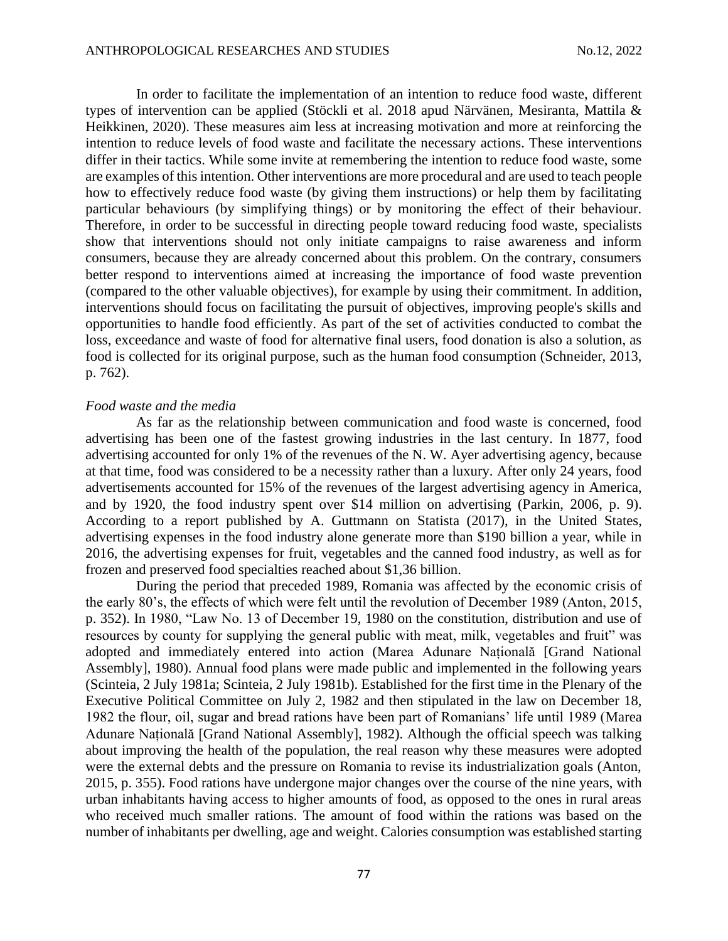In order to facilitate the implementation of an intention to reduce food waste, different types of intervention can be applied (Stöckli et al. 2018 apud Närvänen, Mesiranta, Mattila & Heikkinen, 2020). These measures aim less at increasing motivation and more at reinforcing the intention to reduce levels of food waste and facilitate the necessary actions. These interventions differ in their tactics. While some invite at remembering the intention to reduce food waste, some are examples of this intention. Other interventions are more procedural and are used to teach people how to effectively reduce food waste (by giving them instructions) or help them by facilitating particular behaviours (by simplifying things) or by monitoring the effect of their behaviour. Therefore, in order to be successful in directing people toward reducing food waste, specialists show that interventions should not only initiate campaigns to raise awareness and inform consumers, because they are already concerned about this problem. On the contrary, consumers better respond to interventions aimed at increasing the importance of food waste prevention (compared to the other valuable objectives), for example by using their commitment. In addition, interventions should focus on facilitating the pursuit of objectives, improving people's skills and opportunities to handle food efficiently. As part of the set of activities conducted to combat the loss, exceedance and waste of food for alternative final users, food donation is also a solution, as food is collected for its original purpose, such as the human food consumption (Schneider, 2013, p. 762).

#### *Food waste and the media*

As far as the relationship between communication and food waste is concerned, food advertising has been one of the fastest growing industries in the last century. In 1877, food advertising accounted for only 1% of the revenues of the N. W. Ayer advertising agency, because at that time, food was considered to be a necessity rather than a luxury. After only 24 years, food advertisements accounted for 15% of the revenues of the largest advertising agency in America, and by 1920, the food industry spent over \$14 million on advertising (Parkin, 2006, p. 9). According to a report published by A. Guttmann on Statista (2017), in the United States, advertising expenses in the food industry alone generate more than \$190 billion a year, while in 2016, the advertising expenses for fruit, vegetables and the canned food industry, as well as for frozen and preserved food specialties reached about \$1,36 billion.

During the period that preceded 1989, Romania was affected by the economic crisis of the early 80's, the effects of which were felt until the revolution of December 1989 (Anton, 2015, p. 352). In 1980, "Law No. 13 of December 19, 1980 on the constitution, distribution and use of resources by county for supplying the general public with meat, milk, vegetables and fruit" was adopted and immediately entered into action (Marea Adunare Națională [Grand National Assembly], 1980). Annual food plans were made public and implemented in the following years (Scinteia, 2 July 1981a; Scinteia, 2 July 1981b). Established for the first time in the Plenary of the Executive Political Committee on July 2, 1982 and then stipulated in the law on December 18, 1982 the flour, oil, sugar and bread rations have been part of Romanians' life until 1989 (Marea Adunare Națională [Grand National Assembly], 1982). Although the official speech was talking about improving the health of the population, the real reason why these measures were adopted were the external debts and the pressure on Romania to revise its industrialization goals (Anton, 2015, p. 355). Food rations have undergone major changes over the course of the nine years, with urban inhabitants having access to higher amounts of food, as opposed to the ones in rural areas who received much smaller rations. The amount of food within the rations was based on the number of inhabitants per dwelling, age and weight. Calories consumption was established starting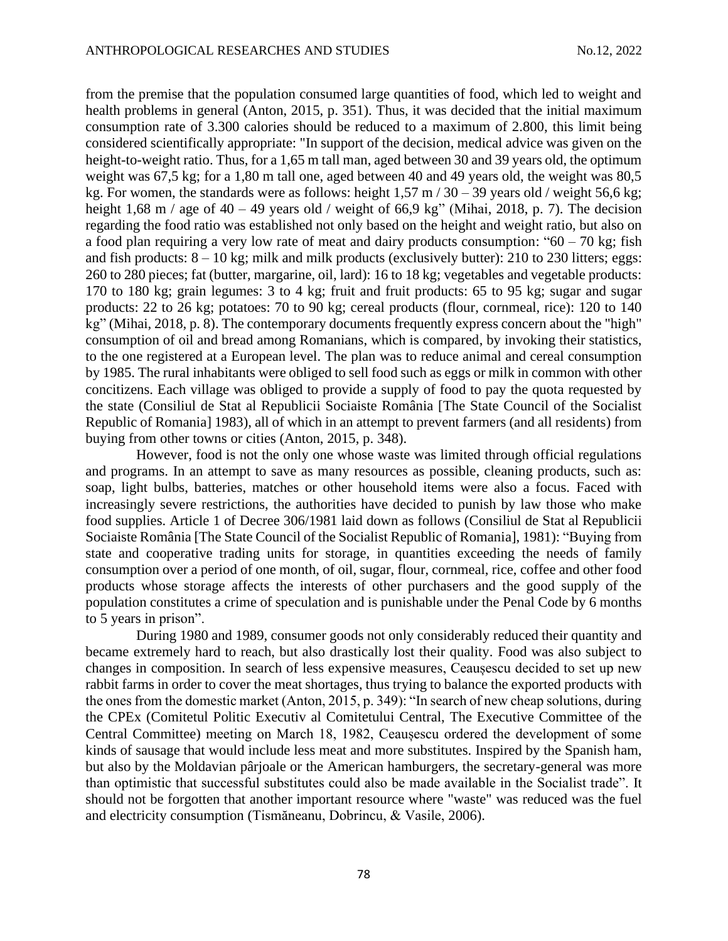from the premise that the population consumed large quantities of food, which led to weight and health problems in general (Anton, 2015, p. 351). Thus, it was decided that the initial maximum consumption rate of 3.300 calories should be reduced to a maximum of 2.800, this limit being considered scientifically appropriate: "In support of the decision, medical advice was given on the height-to-weight ratio. Thus, for a 1,65 m tall man, aged between 30 and 39 years old, the optimum weight was 67,5 kg; for a 1,80 m tall one, aged between 40 and 49 years old, the weight was 80,5 kg. For women, the standards were as follows: height  $1,57 \text{ m} / 30 - 39$  years old / weight 56,6 kg; height 1,68 m / age of 40 – 49 years old / weight of 66,9 kg" (Mihai, 2018, p. 7). The decision regarding the food ratio was established not only based on the height and weight ratio, but also on a food plan requiring a very low rate of meat and dairy products consumption: " $60 - 70$  kg; fish and fish products:  $8 - 10$  kg; milk and milk products (exclusively butter): 210 to 230 litters; eggs: 260 to 280 pieces; fat (butter, margarine, oil, lard): 16 to 18 kg; vegetables and vegetable products: 170 to 180 kg; grain legumes: 3 to 4 kg; fruit and fruit products: 65 to 95 kg; sugar and sugar products: 22 to 26 kg; potatoes: 70 to 90 kg; cereal products (flour, cornmeal, rice): 120 to 140 kg" (Mihai, 2018, p. 8). The contemporary documents frequently express concern about the "high" consumption of oil and bread among Romanians, which is compared, by invoking their statistics, to the one registered at a European level. The plan was to reduce animal and cereal consumption by 1985. The rural inhabitants were obliged to sell food such as eggs or milk in common with other concitizens. Each village was obliged to provide a supply of food to pay the quota requested by the state (Consiliul de Stat al Republicii Sociaiste România [The State Council of the Socialist Republic of Romania] 1983), all of which in an attempt to prevent farmers (and all residents) from buying from other towns or cities (Anton, 2015, p. 348).

However, food is not the only one whose waste was limited through official regulations and programs. In an attempt to save as many resources as possible, cleaning products, such as: soap, light bulbs, batteries, matches or other household items were also a focus. Faced with increasingly severe restrictions, the authorities have decided to punish by law those who make food supplies. Article 1 of Decree 306/1981 laid down as follows (Consiliul de Stat al Republicii Sociaiste România [The State Council of the Socialist Republic of Romania], 1981): "Buying from state and cooperative trading units for storage, in quantities exceeding the needs of family consumption over a period of one month, of oil, sugar, flour, cornmeal, rice, coffee and other food products whose storage affects the interests of other purchasers and the good supply of the population constitutes a crime of speculation and is punishable under the Penal Code by 6 months to 5 years in prison".

During 1980 and 1989, consumer goods not only considerably reduced their quantity and became extremely hard to reach, but also drastically lost their quality. Food was also subject to changes in composition. In search of less expensive measures, Ceaușescu decided to set up new rabbit farms in order to cover the meat shortages, thus trying to balance the exported products with the ones from the domestic market (Anton, 2015, p. 349): "In search of new cheap solutions, during the CPEx (Comitetul Politic Executiv al Comitetului Central, The Executive Committee of the Central Committee) meeting on March 18, 1982, Ceaușescu ordered the development of some kinds of sausage that would include less meat and more substitutes. Inspired by the Spanish ham, but also by the Moldavian pârjoale or the American hamburgers, the secretary-general was more than optimistic that successful substitutes could also be made available in the Socialist trade". It should not be forgotten that another important resource where "waste" was reduced was the fuel and electricity consumption (Tismăneanu, Dobrincu, & Vasile, 2006).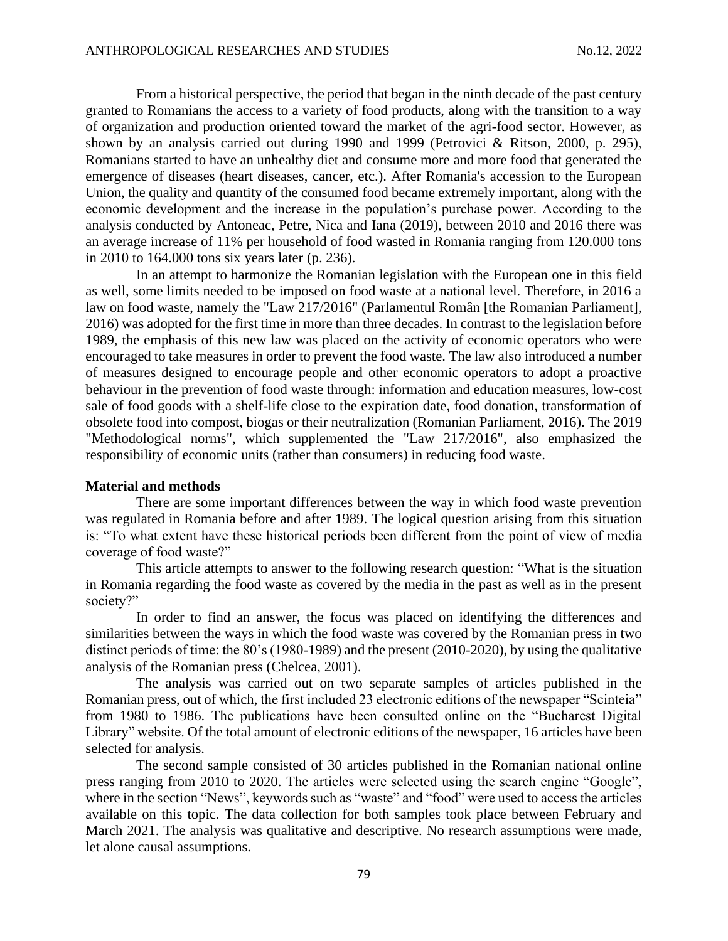From a historical perspective, the period that began in the ninth decade of the past century granted to Romanians the access to a variety of food products, along with the transition to a way of organization and production oriented toward the market of the agri-food sector. However, as shown by an analysis carried out during 1990 and 1999 (Petrovici & Ritson, 2000, p. 295), Romanians started to have an unhealthy diet and consume more and more food that generated the emergence of diseases (heart diseases, cancer, etc.). After Romania's accession to the European Union, the quality and quantity of the consumed food became extremely important, along with the economic development and the increase in the population's purchase power. According to the analysis conducted by Antoneac, Petre, Nica and Iana (2019), between 2010 and 2016 there was an average increase of 11% per household of food wasted in Romania ranging from 120.000 tons in 2010 to 164.000 tons six years later (p. 236).

In an attempt to harmonize the Romanian legislation with the European one in this field as well, some limits needed to be imposed on food waste at a national level. Therefore, in 2016 a law on food waste, namely the "Law 217/2016" (Parlamentul Român [the Romanian Parliament], 2016) was adopted for the first time in more than three decades. In contrast to the legislation before 1989, the emphasis of this new law was placed on the activity of economic operators who were encouraged to take measures in order to prevent the food waste. The law also introduced a number of measures designed to encourage people and other economic operators to adopt a proactive behaviour in the prevention of food waste through: information and education measures, low-cost sale of food goods with a shelf-life close to the expiration date, food donation, transformation of obsolete food into compost, biogas or their neutralization (Romanian Parliament, 2016). The 2019 "Methodological norms", which supplemented the "Law 217/2016", also emphasized the responsibility of economic units (rather than consumers) in reducing food waste.

### **Material and methods**

There are some important differences between the way in which food waste prevention was regulated in Romania before and after 1989. The logical question arising from this situation is: "To what extent have these historical periods been different from the point of view of media coverage of food waste?"

This article attempts to answer to the following research question: "What is the situation in Romania regarding the food waste as covered by the media in the past as well as in the present society?"

In order to find an answer, the focus was placed on identifying the differences and similarities between the ways in which the food waste was covered by the Romanian press in two distinct periods of time: the 80's (1980-1989) and the present (2010-2020), by using the qualitative analysis of the Romanian press (Chelcea, 2001).

The analysis was carried out on two separate samples of articles published in the Romanian press, out of which, the first included 23 electronic editions of the newspaper "Scinteia" from 1980 to 1986. The publications have been consulted online on the "Bucharest Digital Library" website. Of the total amount of electronic editions of the newspaper, 16 articles have been selected for analysis.

The second sample consisted of 30 articles published in the Romanian national online press ranging from 2010 to 2020. The articles were selected using the search engine "Google", where in the section "News", keywords such as "waste" and "food" were used to access the articles available on this topic. The data collection for both samples took place between February and March 2021. The analysis was qualitative and descriptive. No research assumptions were made, let alone causal assumptions.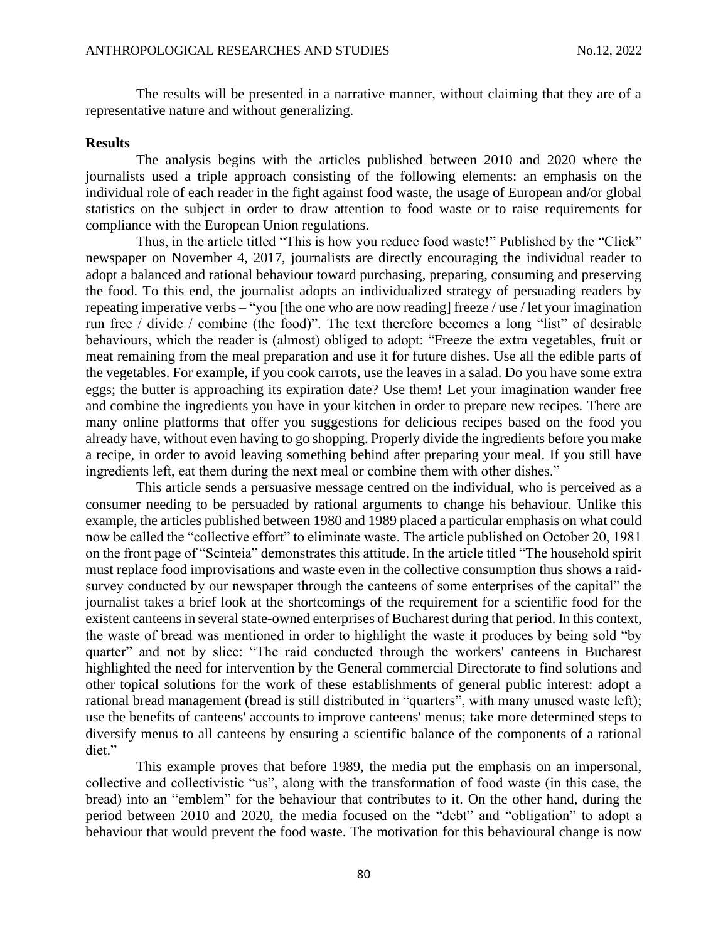The results will be presented in a narrative manner, without claiming that they are of a representative nature and without generalizing.

#### **Results**

The analysis begins with the articles published between 2010 and 2020 where the journalists used a triple approach consisting of the following elements: an emphasis on the individual role of each reader in the fight against food waste, the usage of European and/or global statistics on the subject in order to draw attention to food waste or to raise requirements for compliance with the European Union regulations.

Thus, in the article titled "This is how you reduce food waste!" Published by the "Click" newspaper on November 4, 2017, journalists are directly encouraging the individual reader to adopt a balanced and rational behaviour toward purchasing, preparing, consuming and preserving the food. To this end, the journalist adopts an individualized strategy of persuading readers by repeating imperative verbs – "you [the one who are now reading] freeze / use / let your imagination run free / divide / combine (the food)". The text therefore becomes a long "list" of desirable behaviours, which the reader is (almost) obliged to adopt: "Freeze the extra vegetables, fruit or meat remaining from the meal preparation and use it for future dishes. Use all the edible parts of the vegetables. For example, if you cook carrots, use the leaves in a salad. Do you have some extra eggs; the butter is approaching its expiration date? Use them! Let your imagination wander free and combine the ingredients you have in your kitchen in order to prepare new recipes. There are many online platforms that offer you suggestions for delicious recipes based on the food you already have, without even having to go shopping. Properly divide the ingredients before you make a recipe, in order to avoid leaving something behind after preparing your meal. If you still have ingredients left, eat them during the next meal or combine them with other dishes."

This article sends a persuasive message centred on the individual, who is perceived as a consumer needing to be persuaded by rational arguments to change his behaviour. Unlike this example, the articles published between 1980 and 1989 placed a particular emphasis on what could now be called the "collective effort" to eliminate waste. The article published on October 20, 1981 on the front page of "Scinteia" demonstrates this attitude. In the article titled "The household spirit must replace food improvisations and waste even in the collective consumption thus shows a raidsurvey conducted by our newspaper through the canteens of some enterprises of the capital" the journalist takes a brief look at the shortcomings of the requirement for a scientific food for the existent canteens in several state-owned enterprises of Bucharest during that period. In this context, the waste of bread was mentioned in order to highlight the waste it produces by being sold "by quarter" and not by slice: "The raid conducted through the workers' canteens in Bucharest highlighted the need for intervention by the General commercial Directorate to find solutions and other topical solutions for the work of these establishments of general public interest: adopt a rational bread management (bread is still distributed in "quarters", with many unused waste left); use the benefits of canteens' accounts to improve canteens' menus; take more determined steps to diversify menus to all canteens by ensuring a scientific balance of the components of a rational diet."

This example proves that before 1989, the media put the emphasis on an impersonal, collective and collectivistic "us", along with the transformation of food waste (in this case, the bread) into an "emblem" for the behaviour that contributes to it. On the other hand, during the period between 2010 and 2020, the media focused on the "debt" and "obligation" to adopt a behaviour that would prevent the food waste. The motivation for this behavioural change is now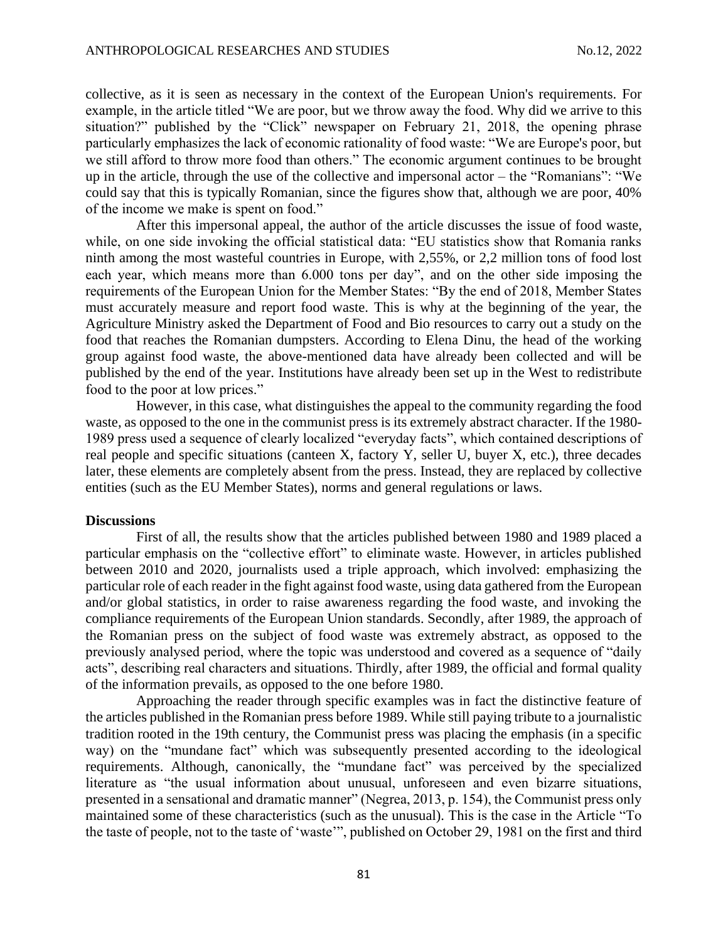collective, as it is seen as necessary in the context of the European Union's requirements. For example, in the article titled "We are poor, but we throw away the food. Why did we arrive to this situation?" published by the "Click" newspaper on February 21, 2018, the opening phrase particularly emphasizes the lack of economic rationality of food waste: "We are Europe's poor, but we still afford to throw more food than others." The economic argument continues to be brought up in the article, through the use of the collective and impersonal actor – the "Romanians": "We could say that this is typically Romanian, since the figures show that, although we are poor, 40% of the income we make is spent on food."

After this impersonal appeal, the author of the article discusses the issue of food waste, while, on one side invoking the official statistical data: "EU statistics show that Romania ranks ninth among the most wasteful countries in Europe, with 2,55%, or 2,2 million tons of food lost each year, which means more than 6.000 tons per day", and on the other side imposing the requirements of the European Union for the Member States: "By the end of 2018, Member States must accurately measure and report food waste. This is why at the beginning of the year, the Agriculture Ministry asked the Department of Food and Bio resources to carry out a study on the food that reaches the Romanian dumpsters. According to Elena Dinu, the head of the working group against food waste, the above-mentioned data have already been collected and will be published by the end of the year. Institutions have already been set up in the West to redistribute food to the poor at low prices."

However, in this case, what distinguishes the appeal to the community regarding the food waste, as opposed to the one in the communist press is its extremely abstract character. If the 1980- 1989 press used a sequence of clearly localized "everyday facts", which contained descriptions of real people and specific situations (canteen X, factory Y, seller U, buyer X, etc.), three decades later, these elements are completely absent from the press. Instead, they are replaced by collective entities (such as the EU Member States), norms and general regulations or laws.

#### **Discussions**

First of all, the results show that the articles published between 1980 and 1989 placed a particular emphasis on the "collective effort" to eliminate waste. However, in articles published between 2010 and 2020, journalists used a triple approach, which involved: emphasizing the particular role of each reader in the fight against food waste, using data gathered from the European and/or global statistics, in order to raise awareness regarding the food waste, and invoking the compliance requirements of the European Union standards. Secondly, after 1989, the approach of the Romanian press on the subject of food waste was extremely abstract, as opposed to the previously analysed period, where the topic was understood and covered as a sequence of "daily acts", describing real characters and situations. Thirdly, after 1989, the official and formal quality of the information prevails, as opposed to the one before 1980.

Approaching the reader through specific examples was in fact the distinctive feature of the articles published in the Romanian press before 1989. While still paying tribute to a journalistic tradition rooted in the 19th century, the Communist press was placing the emphasis (in a specific way) on the "mundane fact" which was subsequently presented according to the ideological requirements. Although, canonically, the "mundane fact" was perceived by the specialized literature as "the usual information about unusual, unforeseen and even bizarre situations, presented in a sensational and dramatic manner" (Negrea, 2013, p. 154), the Communist press only maintained some of these characteristics (such as the unusual). This is the case in the Article "To the taste of people, not to the taste of 'waste'", published on October 29, 1981 on the first and third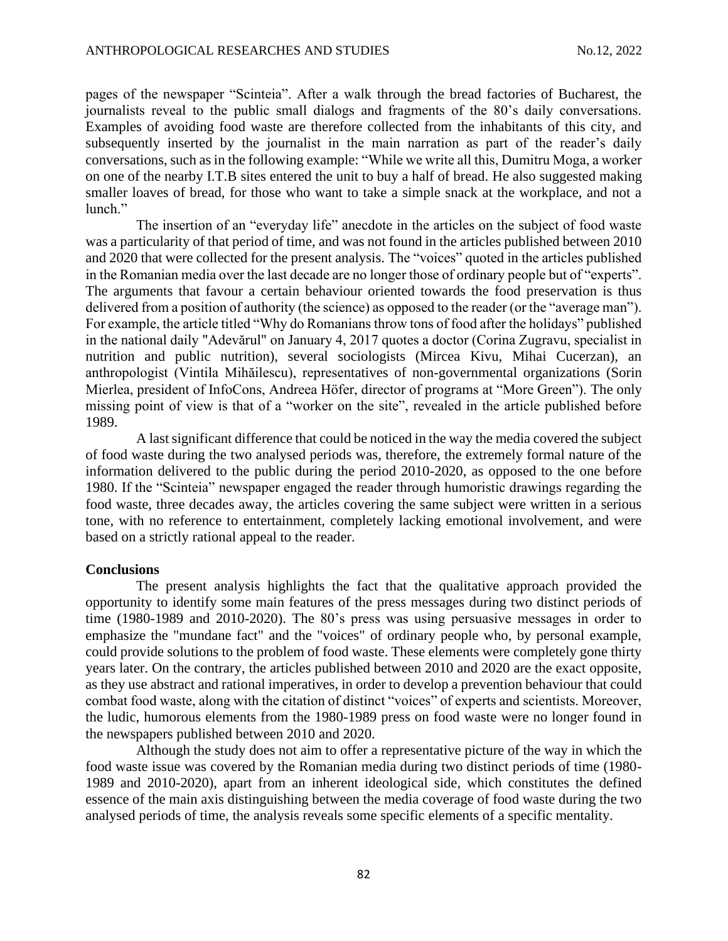pages of the newspaper "Scinteia". After a walk through the bread factories of Bucharest, the journalists reveal to the public small dialogs and fragments of the 80's daily conversations. Examples of avoiding food waste are therefore collected from the inhabitants of this city, and subsequently inserted by the journalist in the main narration as part of the reader's daily conversations, such as in the following example: "While we write all this, Dumitru Moga, a worker on one of the nearby I.T.B sites entered the unit to buy a half of bread. He also suggested making smaller loaves of bread, for those who want to take a simple snack at the workplace, and not a lunch."

The insertion of an "everyday life" anecdote in the articles on the subject of food waste was a particularity of that period of time, and was not found in the articles published between 2010 and 2020 that were collected for the present analysis. The "voices" quoted in the articles published in the Romanian media over the last decade are no longer those of ordinary people but of "experts". The arguments that favour a certain behaviour oriented towards the food preservation is thus delivered from a position of authority (the science) as opposed to the reader (or the "average man"). For example, the article titled "Why do Romanians throw tons of food after the holidays" published in the national daily "Adevărul" on January 4, 2017 quotes a doctor (Corina Zugravu, specialist in nutrition and public nutrition), several sociologists (Mircea Kivu, Mihai Cucerzan), an anthropologist (Vintila Mihăilescu), representatives of non-governmental organizations (Sorin Mierlea, president of InfoCons, Andreea Höfer, director of programs at "More Green"). The only missing point of view is that of a "worker on the site", revealed in the article published before 1989.

A last significant difference that could be noticed in the way the media covered the subject of food waste during the two analysed periods was, therefore, the extremely formal nature of the information delivered to the public during the period 2010-2020, as opposed to the one before 1980. If the "Scinteia" newspaper engaged the reader through humoristic drawings regarding the food waste, three decades away, the articles covering the same subject were written in a serious tone, with no reference to entertainment, completely lacking emotional involvement, and were based on a strictly rational appeal to the reader.

### **Conclusions**

The present analysis highlights the fact that the qualitative approach provided the opportunity to identify some main features of the press messages during two distinct periods of time (1980-1989 and 2010-2020). The 80's press was using persuasive messages in order to emphasize the "mundane fact" and the "voices" of ordinary people who, by personal example, could provide solutions to the problem of food waste. These elements were completely gone thirty years later. On the contrary, the articles published between 2010 and 2020 are the exact opposite, as they use abstract and rational imperatives, in order to develop a prevention behaviour that could combat food waste, along with the citation of distinct "voices" of experts and scientists. Moreover, the ludic, humorous elements from the 1980-1989 press on food waste were no longer found in the newspapers published between 2010 and 2020.

Although the study does not aim to offer a representative picture of the way in which the food waste issue was covered by the Romanian media during two distinct periods of time (1980- 1989 and 2010-2020), apart from an inherent ideological side, which constitutes the defined essence of the main axis distinguishing between the media coverage of food waste during the two analysed periods of time, the analysis reveals some specific elements of a specific mentality.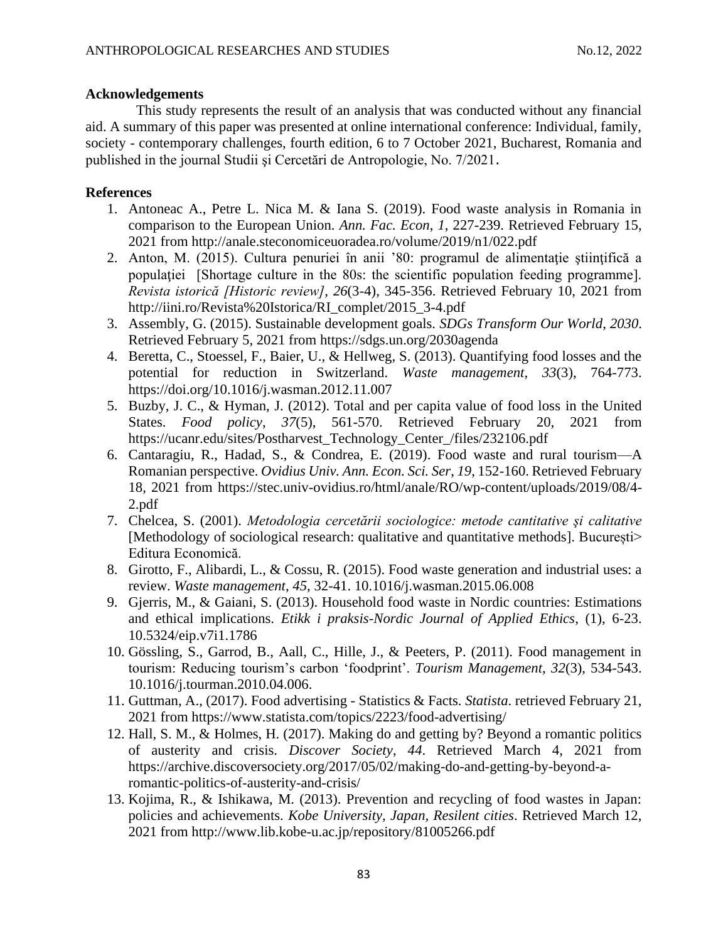### **Acknowledgements**

This study represents the result of an analysis that was conducted without any financial aid. A summary of this paper was presented at online international conference: Individual, family, society - contemporary challenges, fourth edition, 6 to 7 October 2021, Bucharest, Romania and published in the journal Studii şi Cercetări de Antropologie, No. 7/2021.

## **References**

- 1. Antoneac A., Petre L. Nica M. & Iana S. (2019). Food waste analysis in Romania in comparison to the European Union. *Ann. Fac. Econ*, *1*, 227-239. Retrieved February 15, 2021 from [http://anale.steconomiceuoradea.ro/volume/2019/n1/022.pdf](https://econpapers.repec.org/scripts/redir.pf?u=http%3A%2F%2Fanale.steconomiceuoradea.ro%2Fvolume%2F2019%2Fn1%2F022.pdf;h=repec:ora:journl:v:1:y:2019:i:1:p:227-239)
- 2. Anton, M. (2015). Cultura penuriei în anii '80: programul de alimentaţie ştiinţifică a populației [Shortage culture in the 80s: the scientific population feeding programme]. *Revista istorică [Historic review]*, *26*(3-4), 345-356. Retrieved February 10, 2021 from [http://iini.ro/Revista%20Istorica/RI\\_complet/2015\\_3-4.pdf](http://iini.ro/Revista%20Istorica/RI_complet/2015_3-4.pdf)
- 3. Assembly, G. (2015). Sustainable development goals. *SDGs Transform Our World*, *2030*. Retrieved February 5, 2021 from<https://sdgs.un.org/2030agenda>
- 4. Beretta, C., Stoessel, F., Baier, U., & Hellweg, S. (2013). Quantifying food losses and the potential for reduction in Switzerland. *Waste management*, *33*(3), 764-773. <https://doi.org/10.1016/j.wasman.2012.11.007>
- 5. Buzby, J. C., & Hyman, J. (2012). Total and per capita value of food loss in the United States. *Food policy*, *37*(5), 561-570. Retrieved February 20, 2021 from [https://ucanr.edu/sites/Postharvest\\_Technology\\_Center\\_/files/232106.pdf](https://ucanr.edu/sites/Postharvest_Technology_Center_/files/232106.pdf)
- 6. Cantaragiu, R., Hadad, S., & Condrea, E. (2019). Food waste and rural tourism—A Romanian perspective. *Ovidius Univ. Ann. Econ. Sci. Ser*, *19*, 152-160. Retrieved February 18, 2021 from [https://stec.univ-ovidius.ro/html/anale/RO/wp-content/uploads/2019/08/4-](https://stec.univ-ovidius.ro/html/anale/RO/wp-content/uploads/2019/08/4-2.pdf) [2.pdf](https://stec.univ-ovidius.ro/html/anale/RO/wp-content/uploads/2019/08/4-2.pdf)
- 7. Chelcea, S. (2001). *Metodologia cercetării sociologice: metode cantitative şi calitative* [Methodology of sociological research: qualitative and quantitative methods]. București> Editura Economică.
- 8. Girotto, F., Alibardi, L., & Cossu, R. (2015). Food waste generation and industrial uses: a review. *Waste management*, *45*, 32-41. 10.1016/j.wasman.2015.06.008
- 9. Gjerris, M., & Gaiani, S. (2013). Household food waste in Nordic countries: Estimations and ethical implications. *Etikk i praksis-Nordic Journal of Applied Ethics*, (1), 6-23. 10.5324/eip.v7i1.1786
- 10. Gössling, S., Garrod, B., Aall, C., Hille, J., & Peeters, P. (2011). Food management in tourism: Reducing tourism's carbon 'foodprint'. *Tourism Management*, *32*(3), 534-543. 10.1016/j.tourman.2010.04.006.
- 11. Guttman, A., (2017). Food advertising Statistics & Facts. *Statista*. retrieved February 21, 2021 from<https://www.statista.com/topics/2223/food-advertising/>
- 12. Hall, S. M., & Holmes, H. (2017). Making do and getting by? Beyond a romantic politics of austerity and crisis. *Discover Society*, *44*. Retrieved March 4, 2021 from [https://archive.discoversociety.org/2017/05/02/making-do-and-getting-by-beyond-a](https://archive.discoversociety.org/2017/05/02/making-do-and-getting-by-beyond-a-romantic-politics-of-austerity-and-crisis/)[romantic-politics-of-austerity-and-crisis/](https://archive.discoversociety.org/2017/05/02/making-do-and-getting-by-beyond-a-romantic-politics-of-austerity-and-crisis/)
- 13. Kojima, R., & Ishikawa, M. (2013). Prevention and recycling of food wastes in Japan: policies and achievements. *Kobe University, Japan, Resilent cities*. Retrieved March 12, 2021 from<http://www.lib.kobe-u.ac.jp/repository/81005266.pdf>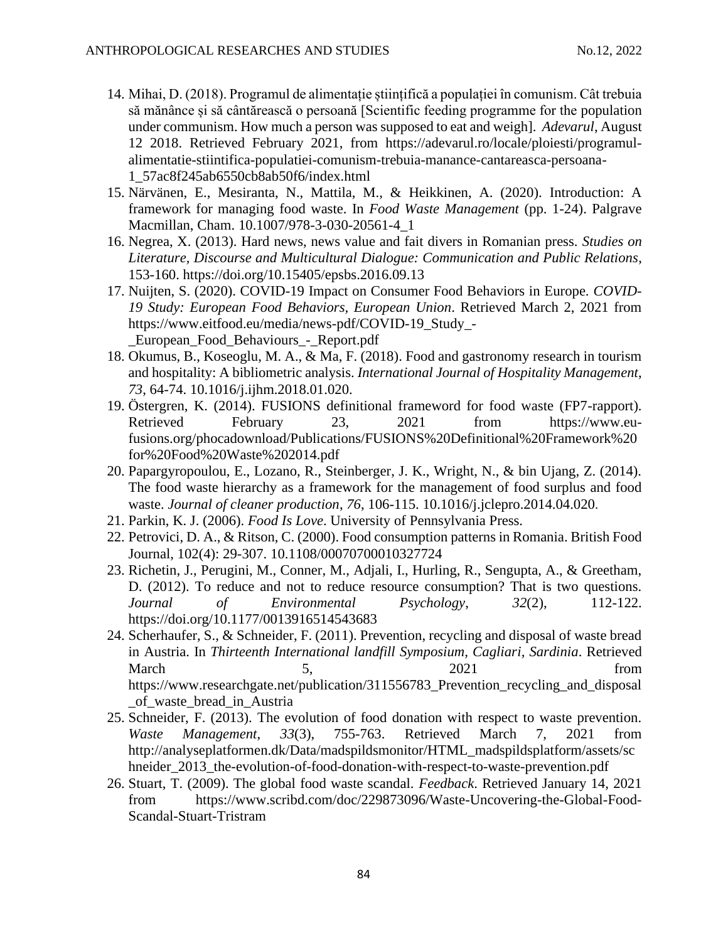- 14. Mihai, D. (2018). Programul de alimentație științifică a populației în comunism. Cât trebuia să mănânce și să cântărească o persoană [Scientific feeding programme for the population under communism. How much a person was supposed to eat and weigh]. *Adevarul*, August 12 2018. Retrieved February 2021, from [https://adevarul.ro/locale/ploiesti/programul](https://adevarul.ro/locale/ploiesti/programul-alimentatie-stiintifica-populatiei-comunism-trebuia-manance-cantareasca-persoana-1_57ac8f245ab6550cb8ab50f6/index.html)[alimentatie-stiintifica-populatiei-comunism-trebuia-manance-cantareasca-persoana-](https://adevarul.ro/locale/ploiesti/programul-alimentatie-stiintifica-populatiei-comunism-trebuia-manance-cantareasca-persoana-1_57ac8f245ab6550cb8ab50f6/index.html)[1\\_57ac8f245ab6550cb8ab50f6/index.html](https://adevarul.ro/locale/ploiesti/programul-alimentatie-stiintifica-populatiei-comunism-trebuia-manance-cantareasca-persoana-1_57ac8f245ab6550cb8ab50f6/index.html)
- 15. Närvänen, E., Mesiranta, N., Mattila, M., & Heikkinen, A. (2020). Introduction: A framework for managing food waste. In *Food Waste Management* (pp. 1-24). Palgrave Macmillan, Cham. [10.1007/978-3-030-20561-4\\_1](http://dx.doi.org/10.1007/978-3-030-20561-4_1)
- 16. Negrea, X. (2013). Hard news, news value and fait divers in Romanian press. *Studies on Literature, Discourse and Multicultural Dialogue: Communication and Public Relations*, 153-160.<https://doi.org/10.15405/epsbs.2016.09.13>
- 17. Nuijten, S. (2020). COVID-19 Impact on Consumer Food Behaviors in Europe. *COVID-19 Study: European Food Behaviors, European Union*. Retrieved March 2, 2021 from [https://www.eitfood.eu/media/news-pdf/COVID-19\\_Study\\_-](https://www.eitfood.eu/media/news-pdf/COVID-19_Study_-_European_Food_Behaviours_-_Report.pdf) [\\_European\\_Food\\_Behaviours\\_-\\_Report.pdf](https://www.eitfood.eu/media/news-pdf/COVID-19_Study_-_European_Food_Behaviours_-_Report.pdf)
- 18. Okumus, B., Koseoglu, M. A., & Ma, F. (2018). Food and gastronomy research in tourism and hospitality: A bibliometric analysis. *International Journal of Hospitality Management*, *73*, 64-74. [10.1016/j.ijhm.2018.01.020.](http://dx.doi.org/10.1016/j.ijhm.2018.01.020)
- 19. Östergren, K. (2014). FUSIONS definitional frameword for food waste (FP7-rapport). Retrieved February 23, 2021 from [https://www.eu](https://www.eu-fusions.org/phocadownload/Publications/FUSIONS%20Definitional%20Framework%20for%20Food%20Waste%202014.pdf)[fusions.org/phocadownload/Publications/FUSIONS%20Definitional%20Framework%20](https://www.eu-fusions.org/phocadownload/Publications/FUSIONS%20Definitional%20Framework%20for%20Food%20Waste%202014.pdf) [for%20Food%20Waste%202014.pdf](https://www.eu-fusions.org/phocadownload/Publications/FUSIONS%20Definitional%20Framework%20for%20Food%20Waste%202014.pdf)
- 20. Papargyropoulou, E., Lozano, R., Steinberger, J. K., Wright, N., & bin Ujang, Z. (2014). The food waste hierarchy as a framework for the management of food surplus and food waste. *Journal of cleaner production*, *76*, 106-115. 10.1016/j.jclepro.2014.04.020.
- 21. Parkin, K. J. (2006). *Food Is Love*. University of Pennsylvania Press.
- 22. Petrovici, D. A., & Ritson, C. (2000). Food consumption patterns in Romania. British Food Journal, 102(4): 29-307. 10.1108/00070700010327724
- 23. Richetin, J., Perugini, M., Conner, M., Adjali, I., Hurling, R., Sengupta, A., & Greetham, D. (2012). To reduce and not to reduce resource consumption? That is two questions. *Journal of Environmental Psychology*, *32*(2), 112-122. [https://doi.org/10.1177/0013916514543683](https://doi.org/10.1177%2F0013916514543683)
- 24. Scherhaufer, S., & Schneider, F. (2011). Prevention, recycling and disposal of waste bread in Austria. In *Thirteenth International landfill Symposium, Cagliari, Sardinia*. Retrieved March 5, 2021 from [https://www.researchgate.net/publication/311556783\\_Prevention\\_recycling\\_and\\_disposal](https://www.researchgate.net/publication/311556783_Prevention_recycling_and_disposal_of_waste_bread_in_Austria) [\\_of\\_waste\\_bread\\_in\\_Austria](https://www.researchgate.net/publication/311556783_Prevention_recycling_and_disposal_of_waste_bread_in_Austria)
- 25. Schneider, F. (2013). The evolution of food donation with respect to waste prevention. *Waste Management*, *33*(3), 755-763. Retrieved March 7, 2021 from [http://analyseplatformen.dk/Data/madspildsmonitor/HTML\\_madspildsplatform/assets/sc](http://analyseplatformen.dk/Data/madspildsmonitor/HTML_madspildsplatform/assets/schneider_2013_the-evolution-of-food-donation-with-respect-to-waste-prevention.pdf) hneider 2013 the-evolution-of-food-donation-with-respect-to-waste-prevention.pdf
- 26. Stuart, T. (2009). The global food waste scandal. *Feedback*. Retrieved January 14, 2021 from [https://www.scribd.com/doc/229873096/Waste-Uncovering-the-Global-Food-](https://www.scribd.com/doc/229873096/Waste-Uncovering-the-Global-Food-Scandal-Stuart-Tristram)[Scandal-Stuart-Tristram](https://www.scribd.com/doc/229873096/Waste-Uncovering-the-Global-Food-Scandal-Stuart-Tristram)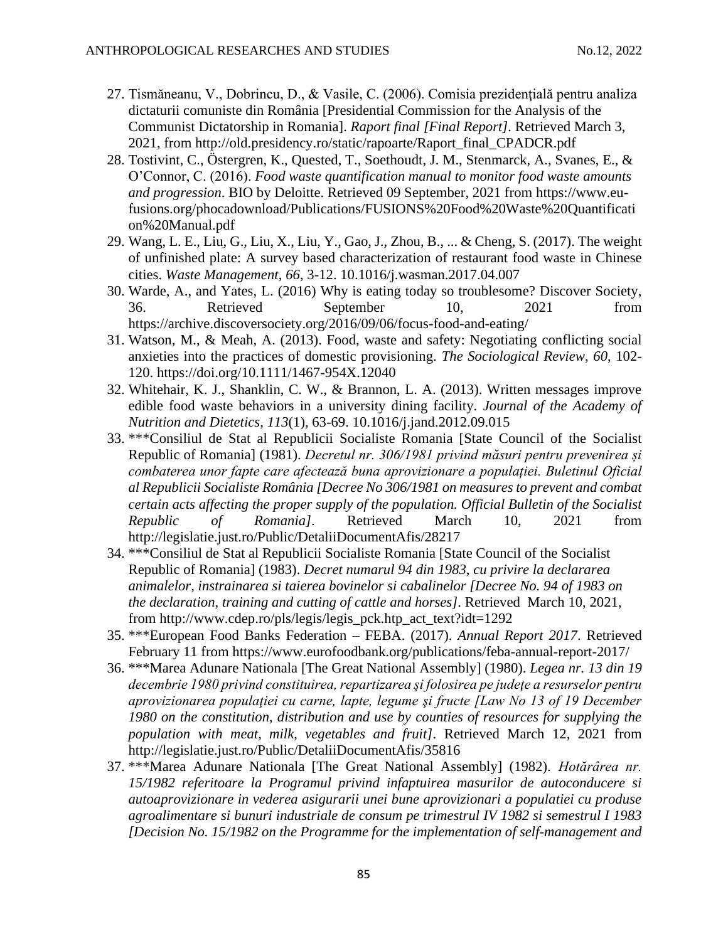- 27. Tismăneanu, V., Dobrincu, D., & Vasile, C. (2006). Comisia prezidenţială pentru analiza dictaturii comuniste din România [Presidential Commission for the Analysis of the Communist Dictatorship in Romania]. *Raport final [Final Report]*. Retrieved March 3, 2021, from [http://old.presidency.ro/static/rapoarte/Raport\\_final\\_CPADCR.pdf](http://old.presidency.ro/static/rapoarte/Raport_final_CPADCR.pdf)
- 28. Tostivint, C., Östergren, K., Quested, T., Soethoudt, J. M., Stenmarck, A., Svanes, E., & O'Connor, C. (2016). *Food waste quantification manual to monitor food waste amounts and progression*. BIO by Deloitte. Retrieved 09 September, 2021 from [https://www.eu](https://www.eu-fusions.org/phocadownload/Publications/FUSIONS%20Food%20Waste%20Quantification%20Manual.pdf)[fusions.org/phocadownload/Publications/FUSIONS%20Food%20Waste%20Quantificati](https://www.eu-fusions.org/phocadownload/Publications/FUSIONS%20Food%20Waste%20Quantification%20Manual.pdf) [on%20Manual.pdf](https://www.eu-fusions.org/phocadownload/Publications/FUSIONS%20Food%20Waste%20Quantification%20Manual.pdf)
- 29. Wang, L. E., Liu, G., Liu, X., Liu, Y., Gao, J., Zhou, B., ... & Cheng, S. (2017). The weight of unfinished plate: A survey based characterization of restaurant food waste in Chinese cities. *Waste Management*, *66*, 3-12. [10.1016/j.wasman.2017.04.007](https://doi.org/10.1016/j.wasman.2017.04.007)
- 30. Warde, A., and Yates, L. (2016) Why is eating today so troublesome? Discover Society, 36. Retrieved September 10, 2021 from <https://archive.discoversociety.org/2016/09/06/focus-food-and-eating/>
- 31. Watson, M., & Meah, A. (2013). Food, waste and safety: Negotiating conflicting social anxieties into the practices of domestic provisioning. *The Sociological Review*, *60*, 102- 120.<https://doi.org/10.1111/1467-954X.12040>
- 32. Whitehair, K. J., Shanklin, C. W., & Brannon, L. A. (2013). Written messages improve edible food waste behaviors in a university dining facility. *Journal of the Academy of Nutrition and Dietetics*, *113*(1), 63-69. 10.1016/j.jand.2012.09.015
- 33. \*\*\*Consiliul de Stat al Republicii Socialiste Romania [State Council of the Socialist Republic of Romania] (1981). *Decretul nr. 306/1981 privind măsuri pentru prevenirea și combaterea unor fapte care afectează buna aprovizionare a populației. Buletinul Oficial al Republicii Socialiste România [Decree No 306/1981 on measures to prevent and combat certain acts affecting the proper supply of the population. Official Bulletin of the Socialist Republic of Romania]*. Retrieved March 10, 2021 from <http://legislatie.just.ro/Public/DetaliiDocumentAfis/28217>
- 34. \*\*\*Consiliul de Stat al Republicii Socialiste Romania [State Council of the Socialist Republic of Romania] (1983). *Decret numarul 94 din 1983, cu privire la declararea animalelor, instrainarea si taierea bovinelor si cabalinelor [Decree No. 94 of 1983 on the declaration, training and cutting of cattle and horses]*. Retrieved March 10, 2021, from [http://www.cdep.ro/pls/legis/legis\\_pck.htp\\_act\\_text?idt=1292](http://www.cdep.ro/pls/legis/legis_pck.htp_act_text?idt=1292)
- 35. \*\*\*European Food Banks Federation FEBA. (2017). *Annual Report 2017*. Retrieved February 11 from<https://www.eurofoodbank.org/publications/feba-annual-report-2017/>
- 36. \*\*\*Marea Adunare Nationala [The Great National Assembly] (1980). *Legea nr. 13 din 19 decembrie 1980 privind constituirea, repartizarea şi folosirea pe judeţe a resurselor pentru aprovizionarea populaţiei cu carne, lapte, legume şi fructe [Law No 13 of 19 December 1980 on the constitution, distribution and use by counties of resources for supplying the population with meat, milk, vegetables and fruit]*. Retrieved March 12, 2021 from <http://legislatie.just.ro/Public/DetaliiDocumentAfis/35816>
- 37. \*\*\*Marea Adunare Nationala [The Great National Assembly] (1982). *Hotărârea nr. 15/1982 referitoare la Programul privind infaptuirea masurilor de autoconducere si autoaprovizionare in vederea asigurarii unei bune aprovizionari a populatiei cu produse agroalimentare si bunuri industriale de consum pe trimestrul IV 1982 si semestrul I 1983 [Decision No. 15/1982 on the Programme for the implementation of self-management and*